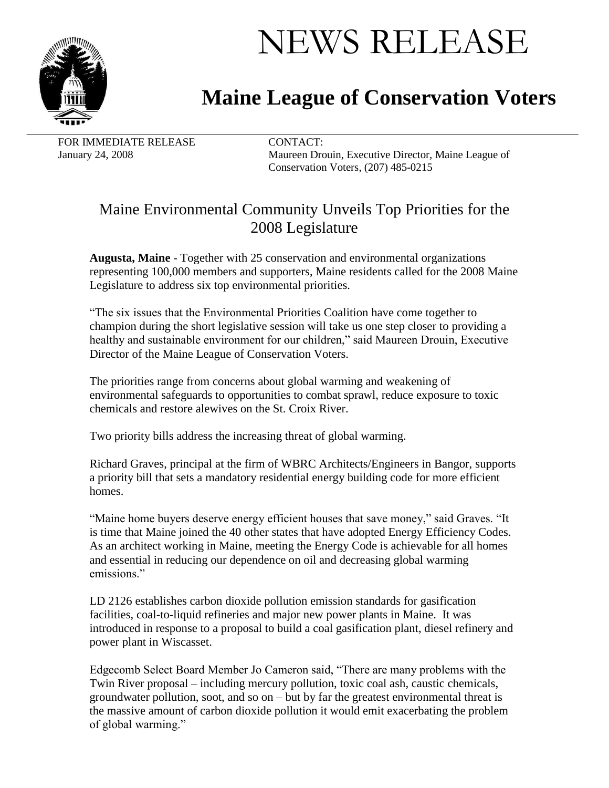

## NEWS RELEASE

## **Maine League of Conservation Voters**

FOR IMMEDIATE RELEASE CONTACT:

January 24, 2008 Maureen Drouin, Executive Director, Maine League of Conservation Voters, (207) 485-0215

## Maine Environmental Community Unveils Top Priorities for the 2008 Legislature

**Augusta, Maine** - Together with 25 conservation and environmental organizations representing 100,000 members and supporters, Maine residents called for the 2008 Maine Legislature to address six top environmental priorities.

"The six issues that the Environmental Priorities Coalition have come together to champion during the short legislative session will take us one step closer to providing a healthy and sustainable environment for our children," said Maureen Drouin, Executive Director of the Maine League of Conservation Voters.

The priorities range from concerns about global warming and weakening of environmental safeguards to opportunities to combat sprawl, reduce exposure to toxic chemicals and restore alewives on the St. Croix River.

Two priority bills address the increasing threat of global warming.

Richard Graves, principal at the firm of WBRC Architects/Engineers in Bangor, supports a priority bill that sets a mandatory residential energy building code for more efficient homes.

"Maine home buyers deserve energy efficient houses that save money," said Graves. "It is time that Maine joined the 40 other states that have adopted Energy Efficiency Codes. As an architect working in Maine, meeting the Energy Code is achievable for all homes and essential in reducing our dependence on oil and decreasing global warming emissions."

LD 2126 establishes carbon dioxide pollution emission standards for gasification facilities, coal-to-liquid refineries and major new power plants in Maine. It was introduced in response to a proposal to build a coal gasification plant, diesel refinery and power plant in Wiscasset.

Edgecomb Select Board Member Jo Cameron said, "There are many problems with the Twin River proposal – including mercury pollution, toxic coal ash, caustic chemicals, groundwater pollution, soot, and so on – but by far the greatest environmental threat is the massive amount of carbon dioxide pollution it would emit exacerbating the problem of global warming."